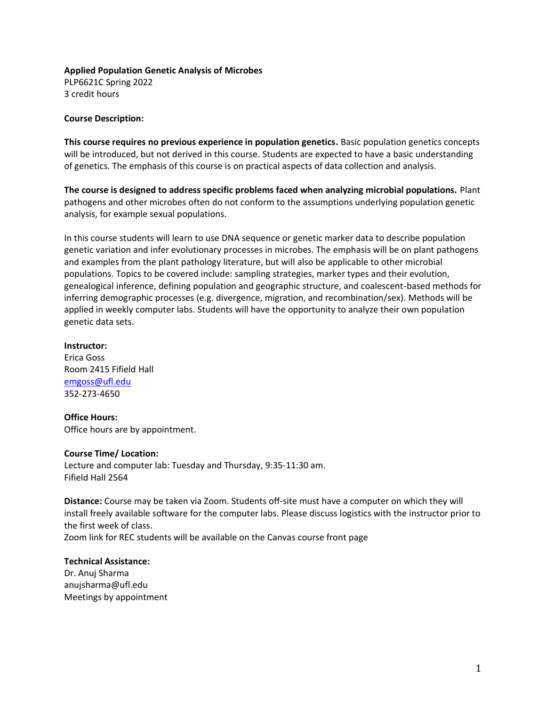# **Applied Population Genetic Analysis of Microbes**

PLP6621C Spring 2022 3 credit hours

# **Course Description:**

**This course requires no previous experience in population genetics.** Basic population genetics concepts will be introduced, but not derived in this course. Students are expected to have a basic understanding of genetics. The emphasis of this course is on practical aspects of data collection and analysis.

**The course is designed to address specific problems faced when analyzing microbial populations.** Plant pathogens and other microbes often do not conform to the assumptions underlying population genetic analysis, for example sexual populations.

In this course students will learn to use DNA sequence or genetic marker data to describe population genetic variation and infer evolutionary processes in microbes. The emphasis will be on plant pathogens and examples from the plant pathology literature, but will also be applicable to other microbial populations. Topics to be covered include: sampling strategies, marker types and their evolution, genealogical inference, defining population and geographic structure, and coalescent-based methods for inferring demographic processes (e.g. divergence, migration, and recombination/sex). Methods will be applied in weekly computer labs. Students will have the opportunity to analyze their own population genetic data sets.

## **Instructor:**

Erica Goss Room 2415 Fifield Hall [emgoss@ufl.edu](mailto:emgoss@ufl.edu) 352-273-4650

# **Office Hours:**

Office hours are by appointment.

## **Course Time/ Location:**

Lecture and computer lab: Tuesday and Thursday, 9:35-11:30 am. Fifield Hall 2564

**Distance:** Course may be taken via Zoom. Students off-site must have a computer on which they will install freely available software for the computer labs. Please discuss logistics with the instructor prior to the first week of class. Zoom link for REC students will be available on the Canvas course front page

# **Technical Assistance:**

Dr. Anuj Sharma anujsharma@ufl.edu Meetings by appointment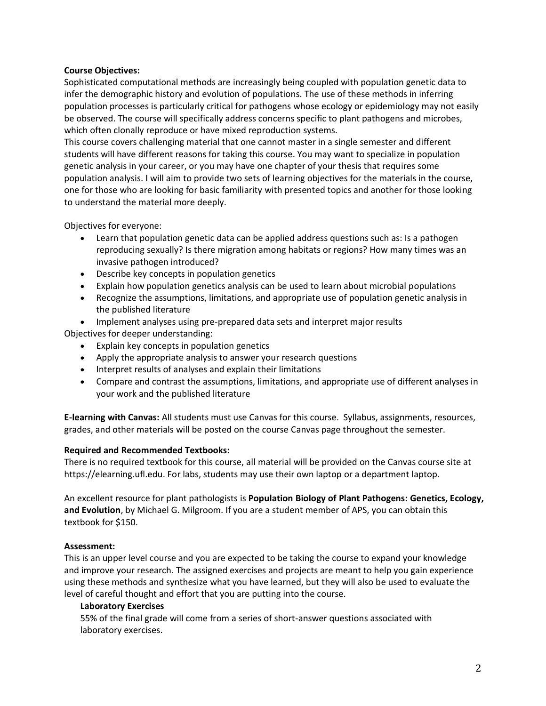#### **Course Objectives:**

Sophisticated computational methods are increasingly being coupled with population genetic data to infer the demographic history and evolution of populations. The use of these methods in inferring population processes is particularly critical for pathogens whose ecology or epidemiology may not easily be observed. The course will specifically address concerns specific to plant pathogens and microbes, which often clonally reproduce or have mixed reproduction systems.

This course covers challenging material that one cannot master in a single semester and different students will have different reasons for taking this course. You may want to specialize in population genetic analysis in your career, or you may have one chapter of your thesis that requires some population analysis. I will aim to provide two sets of learning objectives for the materials in the course, one for those who are looking for basic familiarity with presented topics and another for those looking to understand the material more deeply.

Objectives for everyone:

- Learn that population genetic data can be applied address questions such as: Is a pathogen reproducing sexually? Is there migration among habitats or regions? How many times was an invasive pathogen introduced?
- Describe key concepts in population genetics
- Explain how population genetics analysis can be used to learn about microbial populations
- Recognize the assumptions, limitations, and appropriate use of population genetic analysis in the published literature
- Implement analyses using pre-prepared data sets and interpret major results

Objectives for deeper understanding:

- Explain key concepts in population genetics
- Apply the appropriate analysis to answer your research questions
- Interpret results of analyses and explain their limitations
- Compare and contrast the assumptions, limitations, and appropriate use of different analyses in your work and the published literature

**E-learning with Canvas:** All students must use Canvas for this course. Syllabus, assignments, resources, grades, and other materials will be posted on the course Canvas page throughout the semester.

#### **Required and Recommended Textbooks:**

There is no required textbook for this course, all material will be provided on the Canvas course site at https://elearning.ufl.edu. For labs, students may use their own laptop or a department laptop.

An excellent resource for plant pathologists is **Population Biology of Plant Pathogens: Genetics, Ecology, and Evolution**, by Michael G. Milgroom. If you are a student member of APS, you can obtain this textbook for \$150.

#### **Assessment:**

This is an upper level course and you are expected to be taking the course to expand your knowledge and improve your research. The assigned exercises and projects are meant to help you gain experience using these methods and synthesize what you have learned, but they will also be used to evaluate the level of careful thought and effort that you are putting into the course.

#### **Laboratory Exercises**

55% of the final grade will come from a series of short-answer questions associated with laboratory exercises.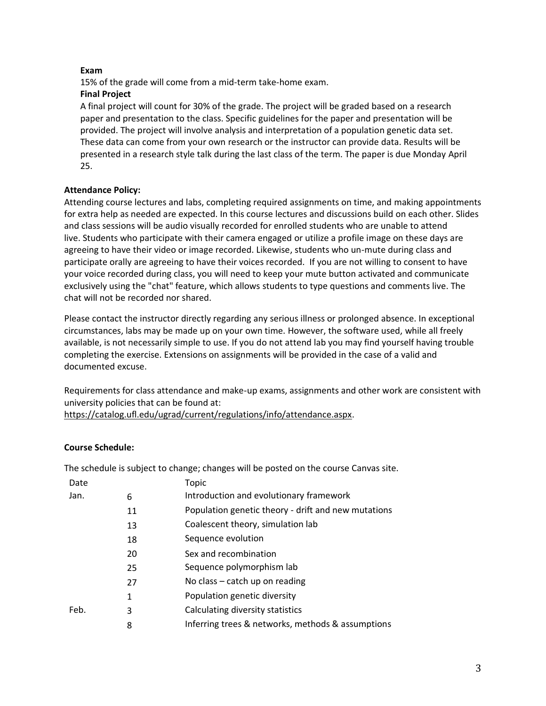# **Exam**

15% of the grade will come from a mid-term take-home exam.

# **Final Project**

A final project will count for 30% of the grade. The project will be graded based on a research paper and presentation to the class. Specific guidelines for the paper and presentation will be provided. The project will involve analysis and interpretation of a population genetic data set. These data can come from your own research or the instructor can provide data. Results will be presented in a research style talk during the last class of the term. The paper is due Monday April 25.

# **Attendance Policy:**

Attending course lectures and labs, completing required assignments on time, and making appointments for extra help as needed are expected. In this course lectures and discussions build on each other. Slides and class sessions will be audio visually recorded for enrolled students who are unable to attend live. Students who participate with their camera engaged or utilize a profile image on these days are agreeing to have their video or image recorded. Likewise, students who un-mute during class and participate orally are agreeing to have their voices recorded. If you are not willing to consent to have your voice recorded during class, you will need to keep your mute button activated and communicate exclusively using the "chat" feature, which allows students to type questions and comments live. The chat will not be recorded nor shared.

Please contact the instructor directly regarding any serious illness or prolonged absence. In exceptional circumstances, labs may be made up on your own time. However, the software used, while all freely available, is not necessarily simple to use. If you do not attend lab you may find yourself having trouble completing the exercise. Extensions on assignments will be provided in the case of a valid and documented excuse.

Requirements for class attendance and make-up exams, assignments and other work are consistent with university policies that can be found at:

[https://catalog.ufl.edu/ugrad/current/regulations/info/attendance.aspx.](https://catalog.ufl.edu/ugrad/current/regulations/info/attendance.aspx)

# **Course Schedule:**

The schedule is subject to change; changes will be posted on the course Canvas site.

| Date |    | Topic                                               |
|------|----|-----------------------------------------------------|
| Jan. | 6  | Introduction and evolutionary framework             |
|      | 11 | Population genetic theory - drift and new mutations |
|      | 13 | Coalescent theory, simulation lab                   |
|      | 18 | Sequence evolution                                  |
|      | 20 | Sex and recombination                               |
|      | 25 | Sequence polymorphism lab                           |
|      | 27 | No class – catch up on reading                      |
|      | 1  | Population genetic diversity                        |
| Feb. | 3  | Calculating diversity statistics                    |
|      | 8  | Inferring trees & networks, methods & assumptions   |
|      |    |                                                     |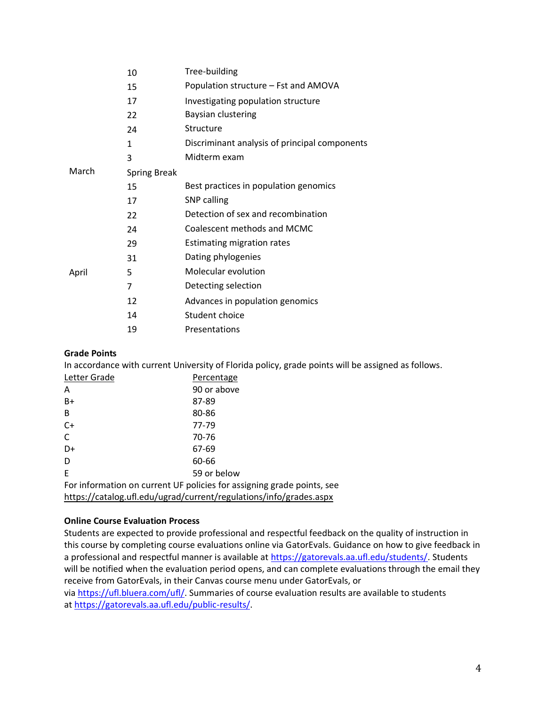|       | 10                  | Tree-building                                 |
|-------|---------------------|-----------------------------------------------|
|       | 15                  | Population structure - Fst and AMOVA          |
|       | 17                  | Investigating population structure            |
|       | 22                  | Baysian clustering                            |
|       | 24                  | Structure                                     |
|       | 1                   | Discriminant analysis of principal components |
|       | 3                   | Midterm exam                                  |
| March | <b>Spring Break</b> |                                               |
|       | 15                  | Best practices in population genomics         |
|       | 17                  | SNP calling                                   |
|       | 22                  | Detection of sex and recombination            |
|       | 24                  | Coalescent methods and MCMC                   |
|       | 29                  | <b>Estimating migration rates</b>             |
|       | 31                  | Dating phylogenies                            |
| April | 5                   | Molecular evolution                           |
|       | 7                   | Detecting selection                           |
|       | 12                  | Advances in population genomics               |
|       | 14                  | Student choice                                |
|       | 19                  | Presentations                                 |
|       |                     |                                               |

# **Grade Points**

In accordance with current University of Florida policy, grade points will be assigned as follows.

| Letter Grade                                                           | Percentage  |  |  |
|------------------------------------------------------------------------|-------------|--|--|
| A                                                                      | 90 or above |  |  |
| $B+$                                                                   | 87-89       |  |  |
| B                                                                      | 80-86       |  |  |
| C+                                                                     | 77-79       |  |  |
| C                                                                      | 70-76       |  |  |
| D+                                                                     | 67-69       |  |  |
| D                                                                      | 60-66       |  |  |
| E                                                                      | 59 or below |  |  |
| For information on current UF policies for assigning grade points, see |             |  |  |
| https://catalog.ufl.edu/ugrad/current/regulations/info/grades.aspx     |             |  |  |

## **Online Course Evaluation Process**

Students are expected to provide professional and respectful feedback on the quality of instruction in this course by completing course evaluations online via GatorEvals. Guidance on how to give feedback in a professional and respectful manner is available at [https://gatorevals.aa.ufl.edu/students/.](https://gatorevals.aa.ufl.edu/students/) Students will be notified when the evaluation period opens, and can complete evaluations through the email they receive from GatorEvals, in their Canvas course menu under GatorEvals, or via [https://ufl.bluera.com/ufl/.](https://ufl.bluera.com/ufl/) Summaries of course evaluation results are available to students at [https://gatorevals.aa.ufl.edu/public-results/.](https://gatorevals.aa.ufl.edu/public-results/)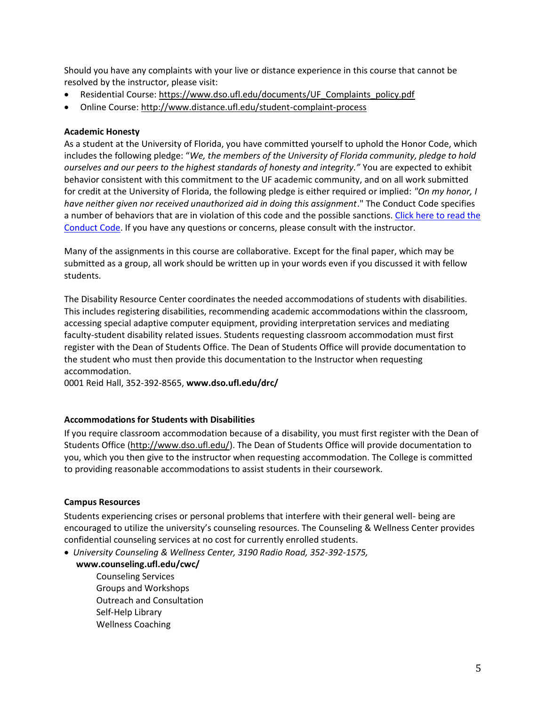Should you have any complaints with your live or distance experience in this course that cannot be resolved by the instructor, please visit:

- Residential Course: [https://www.dso.ufl.edu/documents/UF\\_Complaints\\_policy.pdf](https://www.dso.ufl.edu/documents/UF_Complaints_policy.pdf)
- Online Course:<http://www.distance.ufl.edu/student-complaint-process>

# **Academic Honesty**

As a student at the University of Florida, you have committed yourself to uphold the Honor Code, which includes the following pledge: "*We, the members of the University of Florida community, pledge to hold ourselves and our peers to the highest standards of honesty and integrity."* You are expected to exhibit behavior consistent with this commitment to the UF academic community, and on all work submitted for credit at the University of Florida, the following pledge is either required or implied: *"On my honor, I have neither given nor received unauthorized aid in doing this assignment*." The Conduct Code specifies a number of behaviors that are in violation of this code and the possible sanctions. [Click here to read the](https://sccr.dso.ufl.edu/process/student-conduct-code/)  [Conduct Code.](https://sccr.dso.ufl.edu/process/student-conduct-code/) If you have any questions or concerns, please consult with the instructor.

Many of the assignments in this course are collaborative. Except for the final paper, which may be submitted as a group, all work should be written up in your words even if you discussed it with fellow students.

The Disability Resource Center coordinates the needed accommodations of students with disabilities. This includes registering disabilities, recommending academic accommodations within the classroom, accessing special adaptive computer equipment, providing interpretation services and mediating faculty-student disability related issues. Students requesting classroom accommodation must first register with the Dean of Students Office. The Dean of Students Office will provide documentation to the student who must then provide this documentation to the Instructor when requesting accommodation.

0001 Reid Hall, 352-392-8565, **www.dso.ufl.edu/drc/** 

## **Accommodations for Students with Disabilities**

If you require classroom accommodation because of a disability, you must first register with the Dean of Students Office [\(http://www.dso.ufl.edu/\)](http://www.dso.ufl.edu/). The Dean of Students Office will provide documentation to you, which you then give to the instructor when requesting accommodation. The College is committed to providing reasonable accommodations to assist students in their coursework.

## **Campus Resources**

Students experiencing crises or personal problems that interfere with their general well- being are encouraged to utilize the university's counseling resources. The Counseling & Wellness Center provides confidential counseling services at no cost for currently enrolled students.

- *University Counseling & Wellness Center, 3190 Radio Road, 352-392-1575,* 
	- **www.counseling.ufl.edu/cwc/** 
		- Counseling Services Groups and Workshops Outreach and Consultation Self-Help Library Wellness Coaching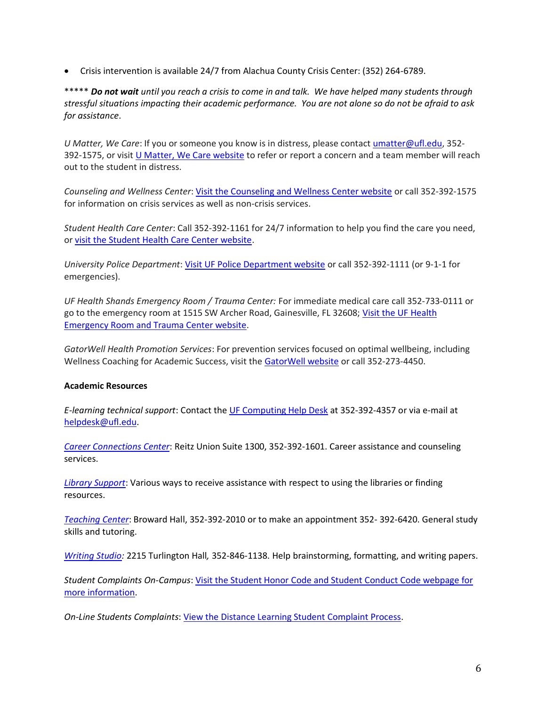• Crisis intervention is available 24/7 from Alachua County Crisis Center: (352) 264-6789.

\*\*\*\*\* *Do not wait until you reach a crisis to come in and talk. We have helped many students through stressful situations impacting their academic performance. You are not alone so do not be afraid to ask for assistance*.

*U Matter, We Care*: If you or someone you know is in distress, please contact [umatter@ufl.edu,](mailto:umatter@ufl.edu) 352- 392-1575, or visit [U Matter, We Care website](https://umatter.ufl.edu/) to refer or report a concern and a team member will reach out to the student in distress.

*Counseling and Wellness Center*[: Visit the Counseling and Wellness Center website](https://counseling.ufl.edu/) or call 352-392-1575 for information on crisis services as well as non-crisis services.

*Student Health Care Center*: Call 352-392-1161 for 24/7 information to help you find the care you need, or [visit the Student Health Care Center website.](https://shcc.ufl.edu/)

*University Police Department*[: Visit UF Police Department website](https://police.ufl.edu/) or call 352-392-1111 (or 9-1-1 for emergencies).

*UF Health Shands Emergency Room / Trauma Center:* For immediate medical care call 352-733-0111 or go to the emergency room at 1515 SW Archer Road, Gainesville, FL 32608; Visit the UF Health [Emergency Room and Trauma Center website.](https://ufhealth.org/emergency-room-trauma-center)

*GatorWell Health Promotion Services*: For prevention services focused on optimal wellbeing, including Wellness Coaching for Academic Success, visit the [GatorWell website](https://gatorwell.ufsa.ufl.edu/) or call 352-273-4450.

## **Academic Resources**

*E-learning technical support*: Contact the [UF Computing Help Desk](http://helpdesk.ufl.edu/) at 352-392-4357 or via e-mail at [helpdesk@ufl.edu.](mailto:helpdesk@ufl.edu)

*[Career Connections Center](https://career.ufl.edu/)*: Reitz Union Suite 1300, 352-392-1601. Career assistance and counseling services.

*[Library Support](https://cms.uflib.ufl.edu/ask)*: Various ways to receive assistance with respect to using the libraries or finding resources.

*[Teaching Center](https://teachingcenter.ufl.edu/)*: Broward Hall, 352-392-2010 or to make an appointment 352- 392-6420. General study skills and tutoring.

*[Writing Studio:](https://writing.ufl.edu/writing-studio/)* 2215 Turlington Hall*,* 352-846-1138. Help brainstorming, formatting, and writing papers.

*Student Complaints On-Campus*: [Visit the Student Honor Code and Student Conduct Code webpage for](https://sccr.dso.ufl.edu/policies/student-honor-%20code-student-conduct-code/)  [more information.](https://sccr.dso.ufl.edu/policies/student-honor-%20code-student-conduct-code/)

*On-Line Students Complaints*[: View the Distance Learning Student Complaint Process.](https://distance.ufl.edu/getting-help/student-complaint-process/)